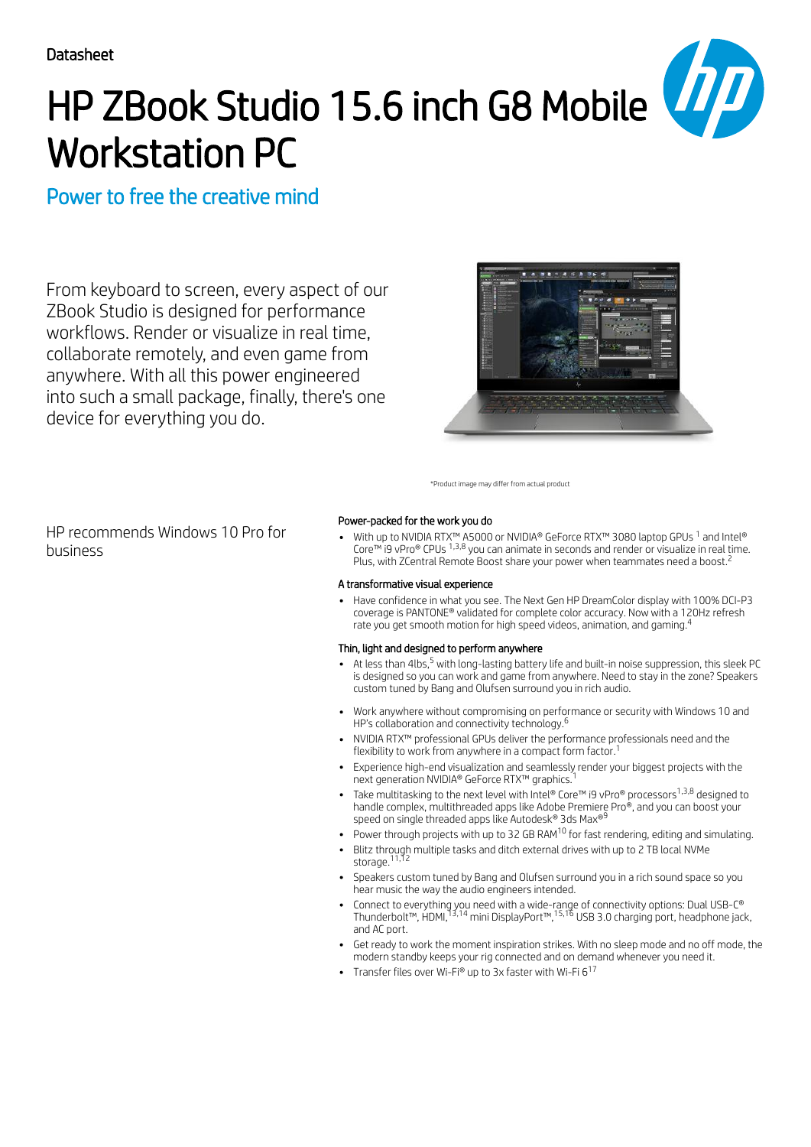# HP ZBook Studio 15.6 inch G8 Mobile Workstation PC

# Power to free the creative mind

From keyboard to screen, every aspect of our ZBook Studio is designed for performance workflows. Render or visualize in real time, collaborate remotely, and even game from anywhere. With all this power engineered into such a small package, finally, there's one device for everything you do.



\*Product image may differ from actual product

HP recommends Windows 10 Pro for business

#### Power-packed for the work you do

With up to NVIDIA RTX™ A5000 or NVIDIA® GeForce RTX™ 3080 laptop GPUs  $^1$  and Intel® Core™ i9 vPro® CPUs  $^{1,3,8}$  you can animate in seconds and render or visualize in real time. Plus, with ZCentral Remote Boost share your power when teammates need a boost.<sup>2</sup>

#### A transformative visual experience

Have confidence in what you see. The Next Gen HP DreamColor display with 100% DCI-P3 coverage is PANTONE® validated for complete color accuracy. Now with a 120Hz refresh rate you get smooth motion for high speed videos, animation, and gaming.<sup>4</sup>

#### Thin, light and designed to perform anywhere

- At less than 4lbs,<sup>5</sup> with long-lasting battery life and built-in noise suppression, this sleek PC is designed so you can work and game from anywhere. Need to stay in the zone? Speakers custom tuned by Bang and Olufsen surround you in rich audio.
- Work anywhere without compromising on performance or security with Windows 10 and HP's collaboration and connectivity technology. 6
- NVIDIA RTX™ professional GPUs deliver the performance professionals need and the flexibility to work from anywhere in a compact form factor. 1
- Experience high-end visualization and seamlessly render your biggest projects with the<br>neyt generation NVIDIA® GeForce RTX™ graphics <sup>1</sup> next generation NVIDIA® GeForce RTX™ graphics.
- Take multitasking to the next level with Intel® Core™ i9 vPro® processors<sup>1,3,8</sup> designed to handle complex, multithreaded apps like Adobe Premiere Pro®, and you can boost your<br>speed on single threaded apps like Autodesk® 3ds Max®<sup>9</sup> speed on single threaded apps like Autodesk® 3ds Max®
- Power through projects with up to 32 GB RAM<sup>10</sup> for fast rendering, editing and simulating.
- Blitz through multiple tasks and ditch external drives with up to 2 TB local NVMe
- storage.<sup>11,12</sup> Speakers custom tuned by Bang and Olufsen surround you in a rich sound space so you
- hear music the way the audio engineers intended. Connect to everything you need with a wide-range of connectivity options: Dual USB-C®
- Thunderbolt™, HDMI,<sup>13,14</sup> mini DisplayPort™,<sup>15,16</sup> USB 3.0 charging port, headphone jack, and AC port.
- Get ready to work the moment inspiration strikes. With no sleep mode and no off mode, the modern standby keeps your rig connected and on demand whenever you need it.
- Transfer files over Wi-Fi® up to 3x faster with Wi-Fi 6 17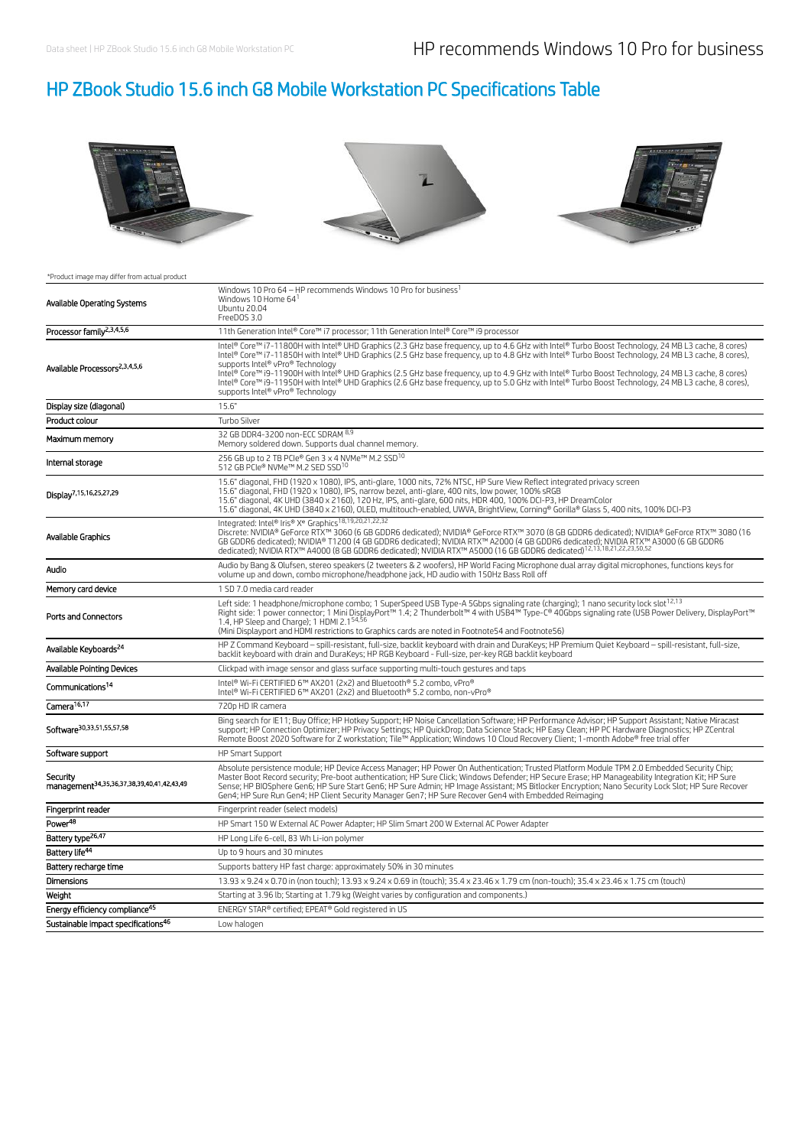# HP ZBook Studio 15.6 inch G8 Mobile Workstation PC Specifications Table



#### \*Product image may differ from actual product

| Available Operating Systems                                        | Windows 10 Pro 64 - HP recommends Windows 10 Pro for business <sup>1</sup><br>Windows 10 Home 64 <sup>1</sup><br>Ubuntu 20.04<br>FreeDOS 3.0                                                                                                                                                                                                                                                                                                                                                                                                                                                                                                                                                       |
|--------------------------------------------------------------------|----------------------------------------------------------------------------------------------------------------------------------------------------------------------------------------------------------------------------------------------------------------------------------------------------------------------------------------------------------------------------------------------------------------------------------------------------------------------------------------------------------------------------------------------------------------------------------------------------------------------------------------------------------------------------------------------------|
| Processor family <sup>2,3,4,5,6</sup>                              | 11th Generation Intel® Core™ i7 processor; 11th Generation Intel® Core™ i9 processor                                                                                                                                                                                                                                                                                                                                                                                                                                                                                                                                                                                                               |
| Available Processors <sup>2,3,4,5,6</sup>                          | Intel® Core™ i7-11800H with Intel® UHD Graphics (2.3 GHz base frequency, up to 4.6 GHz with Intel® Turbo Boost Technology, 24 MB L3 cache, 8 cores)<br>Intel® Core™ i7-11850H with Intel® UHD Graphics (2.5 GHz base frequency, up to 4.8 GHz with Intel® Turbo Boost Technology, 24 MB L3 cache, 8 cores),<br>supports Intel® vPro® Technology<br>Intel® Core™ i9-11900H with Intel® UHD Graphics (2.5 GHz base frequency, up to 4.9 GHz with Intel® Turbo Boost Technology, 24 MB L3 cache, 8 cores)<br>Intel® Core™ i9-11950H with Intel® UHD Graphics (2.6 GHz base frequency, up to 5.0 GHz with Intel® Turbo Boost Technology, 24 MB L3 cache, 8 cores),<br>supports Intel® vPro® Technology |
| Display size (diagonal)                                            | 15.6"                                                                                                                                                                                                                                                                                                                                                                                                                                                                                                                                                                                                                                                                                              |
| Product colour                                                     | Turbo Silver                                                                                                                                                                                                                                                                                                                                                                                                                                                                                                                                                                                                                                                                                       |
| Maximum memory                                                     | 32 GB DDR4-3200 non-ECC SDRAM 8,9<br>Memory soldered down. Supports dual channel memory.                                                                                                                                                                                                                                                                                                                                                                                                                                                                                                                                                                                                           |
| Internal storage                                                   | 256 GB up to 2 TB PCIe® Gen 3 x 4 NVMe™ M.2 SSD <sup>10</sup><br>512 GB PCIe® NVMe™ M.2 SED SSD <sup>10</sup>                                                                                                                                                                                                                                                                                                                                                                                                                                                                                                                                                                                      |
| Display7,15,16,25,27,29                                            | 15.6" diagonal, FHD (1920 x 1080), IPS, anti-glare, 1000 nits, 72% NTSC, HP Sure View Reflect integrated privacy screen<br>15.6" diagonal, FHD (1920 x 1080), IPS, narrow bezel, anti-glare, 400 nits, low power, 100% sRGB<br>15.6" diagonal, 4K UHD (3840 x 2160), 120 Hz, IPS, anti-glare, 600 nits, HDR 400, 100% DCI-P3, HP DreamColor<br>15.6" diagonal, 4K UHD (3840 x 2160), OLED, multitouch-enabled, UWVA, BrightView, Corning® Gorilla® Glass 5, 400 nits, 100% DCI-P3                                                                                                                                                                                                                  |
| Available Graphics                                                 | Integrated: Intel® Iris® Xe Graphics <sup>18,19,20,21,22,32</sup><br>Discrete: NVIDIA® GeForce RTX™ 3060 (6 GB GDDR6 dedicated); NVIDIA® GeForce RTX™ 3070 (8 GB GDDR6 dedicated); NVIDIA® GeForce RTX™ 3080 (16<br>GB GDDR6 dedicated); NVIDIA® T1200 (4 GB GDDR6 dedicated); NVIDIA RTX™ A2000 (4 GB GDDR6 dedicated); NVIDIA RTX™ A3000 (6 GB GDDR6 dedicated); NVIDIA RTX™ A3000 (6 GB GDDR6 dedicated); NVIDIA RTX™ A3000 (6 GB GDDR6 dedica                                                                                                                                                                                                                                                  |
| Audio                                                              | Audio by Bang & Olufsen, stereo speakers (2 tweeters & 2 woofers), HP World Facing Microphone dual array digital microphones, functions keys for<br>volume up and down, combo microphone/headphone jack, HD audio with 150Hz Bass Roll off                                                                                                                                                                                                                                                                                                                                                                                                                                                         |
| Memory card device                                                 | 1 SD 7.0 media card reader                                                                                                                                                                                                                                                                                                                                                                                                                                                                                                                                                                                                                                                                         |
| <b>Ports and Connectors</b>                                        | Left side: 1 headphone/microphone combo; 1 SuperSpeed USB Type-A 5Gbps signaling rate (charging); 1 nano security lock slot <sup>12,13</sup><br>Right side: 1 power connector; 1 Mini DisplayPort™ 1.4; 2 Thunderbolt™ 4 with USB4™ Type-C® 40Gbps signaling rate (USB Power Delivery, DisplayPort™<br>1.4, HP Sleep and Charge); 1 HDMI 2.1 <sup>54,56</sup><br>(Mini Displayport and HDMI restrictions to Graphics cards are noted in Footnote54 and Footnote56)                                                                                                                                                                                                                                 |
| Available Keyboards <sup>24</sup>                                  | HP Z Command Keyboard - spill-resistant, full-size, backlit keyboard with drain and DuraKeys; HP Premium Quiet Keyboard - spill-resistant, full-size,<br>backlit keyboard with drain and DuraKeys; HP RGB Keyboard - Full-size, per-key RGB backlit keyboard                                                                                                                                                                                                                                                                                                                                                                                                                                       |
| <b>Available Pointing Devices</b>                                  | Clickpad with image sensor and glass surface supporting multi-touch gestures and taps                                                                                                                                                                                                                                                                                                                                                                                                                                                                                                                                                                                                              |
| Communications <sup>14</sup>                                       | Intel® Wi-Fi CERTIFIED 6™ AX201 (2x2) and Bluetooth® 5.2 combo, vPro®<br>Intel® Wi-Fi CERTIFIED 6™ AX201 (2x2) and Bluetooth® 5.2 combo, non-vPro®                                                                                                                                                                                                                                                                                                                                                                                                                                                                                                                                                 |
| Camera <sup>16,17</sup>                                            | 720p HD IR camera                                                                                                                                                                                                                                                                                                                                                                                                                                                                                                                                                                                                                                                                                  |
| Software <sup>30,33,51,55,57,58</sup>                              | Bing search for IE11; Buy Office; HP Hotkey Support; HP Noise Cancellation Software; HP Performance Advisor; HP Support Assistant; Native Miracast<br>support; HP Connection Optimizer; HP Privacy Settings; HP QuickDrop; Data Science Stack; HP Easy Clean; HP PC Hardware Diagnostics; HP ZCentral<br>Remote Boost 2020 Software for Z workstation: Tile™ Application: Windows 10 Cloud Recovery Client: 1-month Adobe® free trial offer                                                                                                                                                                                                                                                        |
| Software support                                                   | HP Smart Support                                                                                                                                                                                                                                                                                                                                                                                                                                                                                                                                                                                                                                                                                   |
| Security<br>management <sup>34,35,36,37,38,39,40,41,42,43,49</sup> | Absolute persistence module; HP Device Access Manager; HP Power On Authentication; Trusted Platform Module TPM 2.0 Embedded Security Chip;<br>Master Boot Record security; Pre-boot authentication; HP Sure Click; Windows Defender; HP Secure Erase; HP Manageability Integration Kit; HP Sure<br>Sense; HP BIOSphere Gen6; HP Sure Start Gen6; HP Sure Admin; HP Image Assistant; MS Bitlocker Encryption; Nano Security Lock Slot; HP Sure Recover<br>Gen4; HP Sure Run Gen4; HP Client Security Manager Gen7; HP Sure Recover Gen4 with Embedded Reimaging                                                                                                                                     |
| Fingerprint reader                                                 | Fingerprint reader (select models)                                                                                                                                                                                                                                                                                                                                                                                                                                                                                                                                                                                                                                                                 |
| Power <sup>48</sup>                                                | HP Smart 150 W External AC Power Adapter; HP Slim Smart 200 W External AC Power Adapter                                                                                                                                                                                                                                                                                                                                                                                                                                                                                                                                                                                                            |
| Battery type <sup>26,47</sup>                                      | HP Long Life 6-cell, 83 Wh Li-ion polymer                                                                                                                                                                                                                                                                                                                                                                                                                                                                                                                                                                                                                                                          |
| Battery life <sup>44</sup>                                         | Up to 9 hours and 30 minutes                                                                                                                                                                                                                                                                                                                                                                                                                                                                                                                                                                                                                                                                       |
| Battery recharge time                                              | Supports battery HP fast charge: approximately 50% in 30 minutes                                                                                                                                                                                                                                                                                                                                                                                                                                                                                                                                                                                                                                   |
| <b>Dimensions</b>                                                  | 13.93 x 9.24 x 0.70 in (non touch); 13.93 x 9.24 x 0.69 in (touch); 35.4 x 23.46 x 1.79 cm (non-touch); 35.4 x 23.46 x 1.75 cm (touch)                                                                                                                                                                                                                                                                                                                                                                                                                                                                                                                                                             |
| Weight                                                             | Starting at 3.96 lb; Starting at 1.79 kg (Weight varies by configuration and components.)                                                                                                                                                                                                                                                                                                                                                                                                                                                                                                                                                                                                          |
| Energy efficiency compliance <sup>45</sup>                         | ENERGY STAR® certified; EPEAT® Gold registered in US                                                                                                                                                                                                                                                                                                                                                                                                                                                                                                                                                                                                                                               |
| Sustainable impact specifications <sup>46</sup>                    | Low halogen                                                                                                                                                                                                                                                                                                                                                                                                                                                                                                                                                                                                                                                                                        |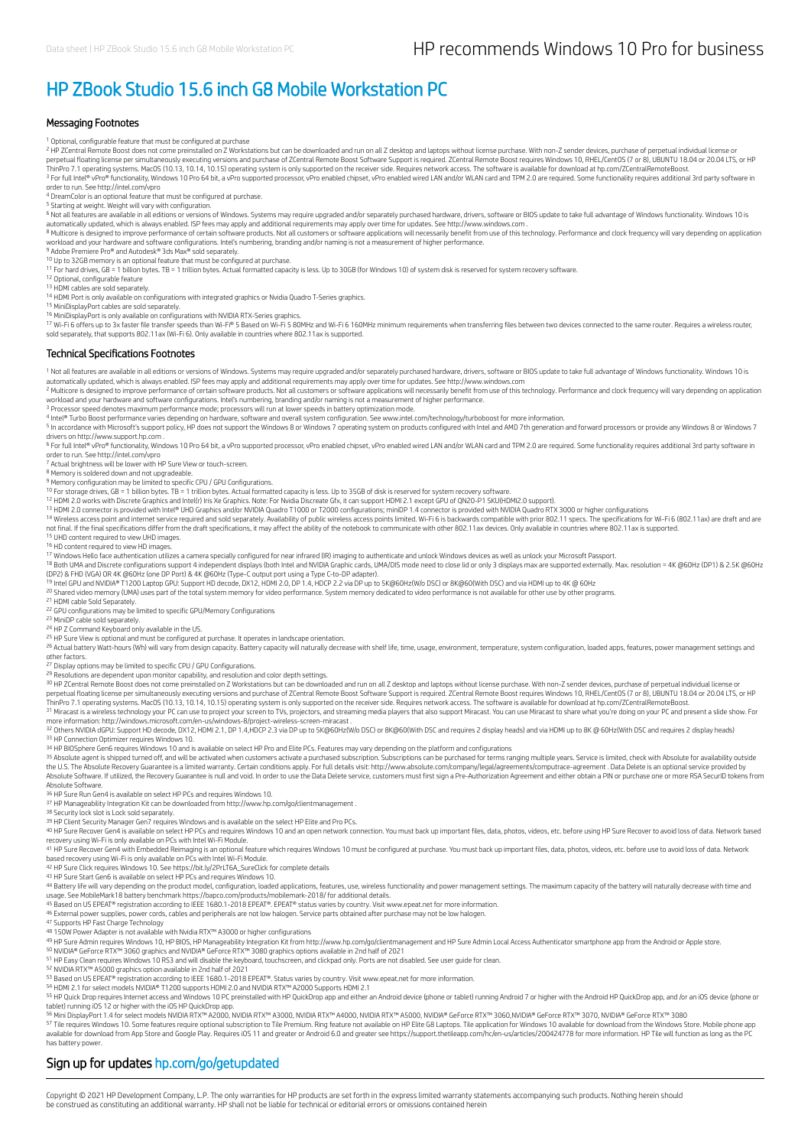### HP ZBook Studio 15.6 inch G8 Mobile Workstation PC

#### Messaging Footnotes

<sup>1</sup> Optional, configurable feature that must be configured at purchase

<sup>2</sup> HP ZCentral Remote Boost does not come preinstalled on Z Workstations but can be downloaded and run on all Z desktop and laptops without license purchase. With non-Z sender devices, purchase of perpetual individual lic perpetual floating license per simultaneously executing versions and purchase of ZCentral Remote Boost Software Support is required. ZCentral Remote Boost requires Windows 10, RHEL/CentOS (7 or 8), UBUNTU 18.04 or 20.04 LT <sup>3</sup> For full Intel® vPro® functionality, Windows 10 Pro 64 bit, a vPro supported processor, vPro enabled chipset, vPro enabled wired LAN and/or WLAN card and TPM 2.0 are required. Some functionality requires additional 3rd

4 DreamColor is an optional feature that must be configured at purchase.

<sup>5</sup> Starting at weight. Weight will vary with configuration.<br><sup>6</sup> Not all features are available in all editions or versions of Windows. Systems may require upgraded and/or separately purchased hardware, drivers, software o

automatically updated, which is always enabled. ISP fees may apply and additional requirements may apply over time for updates. See http://www.windows.com .<br><sup>8</sup> Multicore is designed to improve performance of certain softw workload and your hardware and software configurations. Intel's numbering, branding and/or naming is not a measurement of higher performance.<br><sup>9</sup> Adobe Premiere Pro® and Autodes\® 3ds Max® sold separately.<br><sup>10</sup> Up to 32GB

<sup>11</sup> For hard drives, GB = 1 billion bytes. TB = 1 trillion bytes. Actual formatted capacity is less. Up to 30GB (for Windows 10) of system disk is reserved for system recovery software.

12 Optional, configurable feature

13 HDMI cables are sold separately.

14 HDMI Port is only available on configurations with integrated graphics or Nvidia Quadro T-Series graphics.

15 MiniDisplayPort cables are sold separately.

<sup>16</sup> MiniDisplayPort is only available on configurations with NVIDIA RTX-Series graphics.<br><sup>17</sup> Wi-Fi 6 offers up to 3x faster file transfer speeds than Wi-Fi® 5 Based on Wi-Fi 5 80MHz and Wi-Fi 6 160MHz minimum requirement sold separately, that supports 802.11ax (Wi-Fi 6). Only available in countries where 802.11ax is supported.

#### Technical Specifications Footnotes

<sup>1</sup> Not all features are available in all editions or versions of Windows. Systems may require upgraded and/or separately purchased hardware, drivers, software or BIOS update to take full advantage of Windows functionality

automatically updated, which is always enabled. ISP fees may apply and additional requirements may apply over time for updates. See http://www.windows.com<br><sup>2</sup> Multicore is designed to improve performance of certain softwar

workload and your hardware and software configurations. Intel's numbering, branding and/or naming is not a measurement of higher performance.<br><sup>3</sup> Processor speed denotes maximum performance mode; processors will run at low

4 Intel® Turbo Boost performance varies depending on hardware, software and overall system configuration. See www.intel.com/technology/turboboost for more information.

<sup>5</sup> In accordance with Microsoft's support policy, HP does not support the Windows 8 or Windows 7 operating system on products configured with Intel and AMD 7th generation and forward processors or provide any Windows 8 or

<sup>6</sup> For full Intel® vPro® functionality, Windows 10 Pro 64 bit, a vPro supported processor, vPro enabled chipset, vPro enabled wired LAN and/or WLAN card and TPM 2.0 are required. Some functionality requires additional 3r 6

7

<sup>8</sup> Memory is soldered down and not upgradeable.<br><sup>9</sup> Memory configuration may be limited to specific CPU / GPU Configurations.

10 12 13

For storage drives, GB = 1 billion bytes. TB = 1 trillion bytes. Actual formatted capacity is less. Up to 35GB of disk is reserved for system recovery software.<br>HDM 2.0 voncs with Discrete Graphics and Intel(I) Iris Xe Gra

<sup>14</sup> Wireless access point and internet service required and sold separately. Availability of public wireless access points limited. Wi-Fi 6 is backwards compatible with prior 802.11 specs. The specifications for Wi-Fi 6 (

<sup>15</sup> UHD content required to view UHD images.<br><sup>16</sup> HD content required to view HD images.

17 18

17 Windows Hello face authentication utilizes a camera specially configured for near infrared (IR) imaging to authenticate and unlock Windows devices as well as unlock your Microsoft Passport.<br>18 Both UMA and Discrete conf

<sup>19</sup> Intel GPU and NVIDIA® T1200 Laptop GPU: Support HD decode, DX12, HDMI 2.0, DP 1.4, HDCP 2.2 via DP up to 5K@6DHz(W/o DSC) or 8K@60(With DSC) and via HDMI up to 4K @ 60Hz<br><sup>20</sup> Shared video memory (UMA) uses part of the

21 HDMI cable Sold Separately.

<sup>22</sup> GPU configurations may be limited to specific GPU/Memory Configurations<br><sup>23</sup> MiniDP cable sold separately.

<sup>24</sup> HP Z Command Keyboard only available in the US.<br><sup>25</sup> HP Sure View is optional and must be configured at purchase. It operates in landscape orientation.

26 Actual battery Watt-hours (Wh) will vary from design capacity. Battery capacity will naturally decrease with shelf life, time, usage, environment, temperature, system configuration, loaded apps, features, power manageme

other factors.<br><sup>27</sup> Display options may be limited to specific CPU / GPU Configurations.

<sup>29</sup> Resolutions are dependent upon monitor capability, and resolution and color depth settings.<br><sup>30</sup> HP ZCentral Remote Boost does not come preinstalled on Z Workstations but can be downloaded and run on all Z desktop and

perpetual floating license per simultaneously executing versions and purchase of ZCentral Remote Boost Software Support is required. ZCentral Remote Boost requires Windows 10, RHEL/CentOS (7 or 8), UBUNTU 18.04 or 20.04 LT

more information: http://windows.microsoft.com/en-us/windows-8/project-wireless-screen-miracast .<br><sup>32</sup> Others NVIDIA dGPU: Support HD decode, DX12, HDMI 2.1, DP 1.4,HDCP 2.3 via DP up to 5K@60Hz(Wo DSC) or 8K@60(With DSC a 33 HP Connection Optimizer requires Windows 10.

34 HP BIOSphere Gen6 requires Windows 10 and is available on select HP Pro and Elite PCs. Features may vary depending on the platform and configurations

<sup>35</sup> Absolute agent is shipped turned off, and will be activated when customers activate a purchased subscription. Subscriptions can be purchased for terms ranging multiple years. Service is limited, check with Absolute fo the U.S. The Absolute Recovery Guarantee is a limited warranty. Certain conditions apply. For full details visit: http://www.absolute.com/company/legal/agreements/compurace-agreement . Data Delete is an optional service pr Absolute Software.

36 HP Sure Run Gen4 is available on select HP PCs and requires Windows 10.

37 HP Manageability Integration Kit can be downloaded from http://www.hp.com/go/clientmanagement .

<sup>38</sup> Security lock slot is Lock sold separately.<br><sup>39</sup> HP Client Security Manager Gen7 requires Windows and is available on the select HP Elite and Pro PCs.

<sup>40</sup> HP Sure Recover Gen4 is available on select HP PCs and requires Windows 10 and an open network connection. You must back up important files, data, photos, videos, etc. before using HP Sure Recover to avoid loss of dat

41 HP Sure Recover Gen4 with Embedded Reimaging is an optional feature which requires Windows 10 must be configured at purchase. You must back up important files, data, photos, videos, etc. before use to avoid loss of data based recovery using Wi-Fi is only available on PCs with Intel Wi-Fi Module.<br><sup>42</sup> HP Sure Click requires Windows 10. See https://bit.ly/2PrLT6A\_SureClick for complete details

43 HP Sure Start Gen6 is available on select HP PCs and requires Windows 10.<br>44 Battery life will vary depending onch, configuration, loaded applications, features, use, wireless functionality and power management settings 43 44

<sup>45</sup> Based on US EPEAT® registration according to IEEE 1680.1-2018 EPEAT®. EPEAT® status varies by country. Visit www.epeat.net for more information.<br><sup>46</sup> External power supplies, power cords, cables and peripherals are no 45

<sup>47</sup> Supports HP Fast Charge Technology<br><sup>48</sup> 150W Power Adapter is not available with Nvidia RTX™ A3000 or higher configurations

HP Sure Admin requires Windows 10, HP BIOS, HP Manageability Integration Kit from http://www.hp.com/go/clientmanagement and HP Sure Admin Local Access Authenticator smartphone app from the Android or Apple store.<br>NVIDIA® 49 50 51

NVIDIA RTX™ A5000 graphics option available in 2nd half of 2021<br>Based on US EPEAT® registration according to IEEE 1680.1-2018 EPEAT®. Status varies by country. Visit www.epeat.net for more information.<br>HDMI 2.1 for select 52 53 54

<sup>55</sup> HP Quick Drop requires Internet access and Windows 10 PC preinstalled with HP QuickDrop app and either an Android device (phone or tablet) running Android 7 or higher with the Android HP QuickDrop app, and /or an iOS

<sup>56</sup> Mini DisplayPort 1.4 for select models NVIDIA RTX™ A2000, NVIDIA RTX™ A3000, NVIDIA RTX™ A5000, NVIDIA® GEOrce RTX™ 3060,NVIDIA® GeForce RTX™ 3070, NVIDIA® GeForce RTX™ 3080<br><sup>57</sup> Tile requires Windows 10. Some featur available for download from App Store and Google Play. Requires iOS 11 and greater or Android 6.0 and greater see https://support.thetileapp.com/hc/en-us/articles/200424778 for more information. HP Tile will function as lo has battery power.

#### Sign up for updates hp.com/go/getupdated

Copyright © 2021 HP Development Company, L.P. The only warranties for HP products are set forth in the express limited warranty statements accompanying such products. Nothing herein should<br>be construed as constituting an a